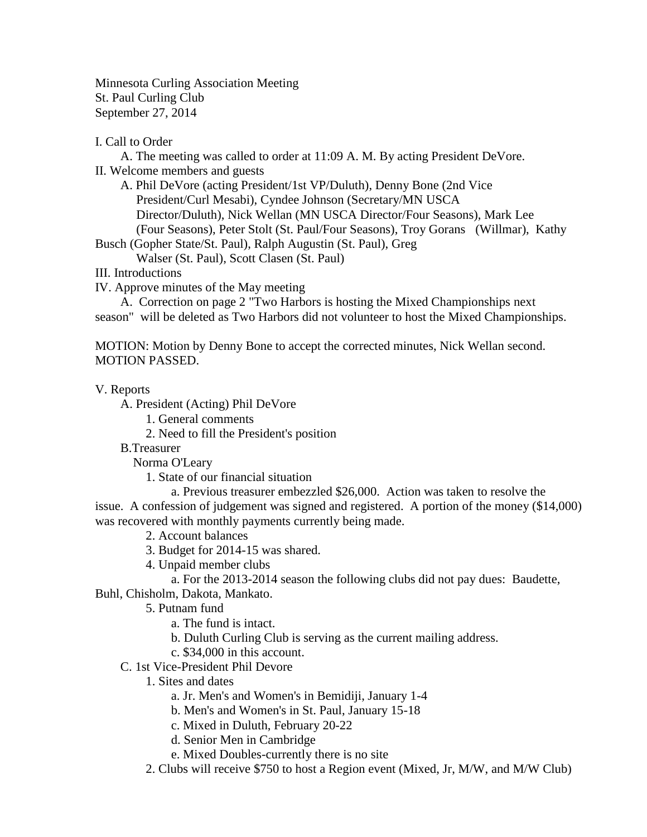Minnesota Curling Association Meeting St. Paul Curling Club September 27, 2014

## I. Call to Order

A. The meeting was called to order at 11:09 A. M. By acting President DeVore. II. Welcome members and guests

A. Phil DeVore (acting President/1st VP/Duluth), Denny Bone (2nd Vice President/Curl Mesabi), Cyndee Johnson (Secretary/MN USCA Director/Duluth), Nick Wellan (MN USCA Director/Four Seasons), Mark Lee (Four Seasons), Peter Stolt (St. Paul/Four Seasons), Troy Gorans (Willmar), Kathy

Busch (Gopher State/St. Paul), Ralph Augustin (St. Paul), Greg

Walser (St. Paul), Scott Clasen (St. Paul)

III. Introductions

IV. Approve minutes of the May meeting

A. Correction on page 2 "Two Harbors is hosting the Mixed Championships next season" will be deleted as Two Harbors did not volunteer to host the Mixed Championships.

MOTION: Motion by Denny Bone to accept the corrected minutes, Nick Wellan second. MOTION PASSED.

V. Reports

A. President (Acting) Phil DeVore

1. General comments

2. Need to fill the President's position

B.Treasurer

Norma O'Leary

1. State of our financial situation

a. Previous treasurer embezzled \$26,000. Action was taken to resolve the issue. A confession of judgement was signed and registered. A portion of the money (\$14,000) was recovered with monthly payments currently being made.

- 2. Account balances
- 3. Budget for 2014-15 was shared.
- 4. Unpaid member clubs

a. For the 2013-2014 season the following clubs did not pay dues: Baudette,

Buhl, Chisholm, Dakota, Mankato.

- 5. Putnam fund
	- a. The fund is intact.
	- b. Duluth Curling Club is serving as the current mailing address.
	- c. \$34,000 in this account.
- C. 1st Vice-President Phil Devore
	- 1. Sites and dates
		- a. Jr. Men's and Women's in Bemidiji, January 1-4
		- b. Men's and Women's in St. Paul, January 15-18
		- c. Mixed in Duluth, February 20-22
		- d. Senior Men in Cambridge
		- e. Mixed Doubles-currently there is no site
	- 2. Clubs will receive \$750 to host a Region event (Mixed, Jr, M/W, and M/W Club)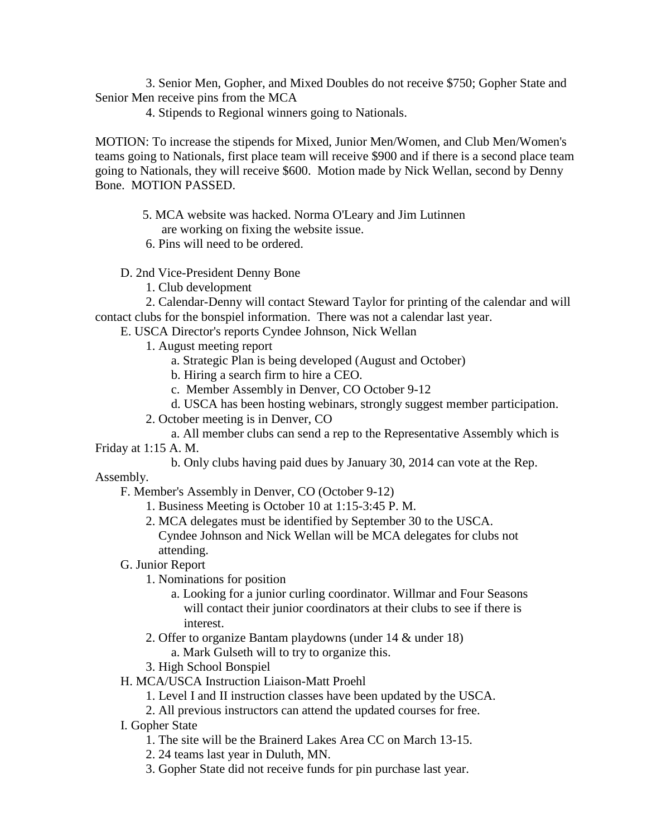3. Senior Men, Gopher, and Mixed Doubles do not receive \$750; Gopher State and Senior Men receive pins from the MCA

4. Stipends to Regional winners going to Nationals.

MOTION: To increase the stipends for Mixed, Junior Men/Women, and Club Men/Women's teams going to Nationals, first place team will receive \$900 and if there is a second place team going to Nationals, they will receive \$600. Motion made by Nick Wellan, second by Denny Bone. MOTION PASSED.

5. MCA website was hacked. Norma O'Leary and Jim Lutinnen are working on fixing the website issue.

6. Pins will need to be ordered.

D. 2nd Vice-President Denny Bone

1. Club development

2. Calendar-Denny will contact Steward Taylor for printing of the calendar and will contact clubs for the bonspiel information. There was not a calendar last year.

- E. USCA Director's reports Cyndee Johnson, Nick Wellan
	- 1. August meeting report
		- a. Strategic Plan is being developed (August and October)
		- b. Hiring a search firm to hire a CEO.
		- c. Member Assembly in Denver, CO October 9-12
		- d. USCA has been hosting webinars, strongly suggest member participation.
	- 2. October meeting is in Denver, CO
	- a. All member clubs can send a rep to the Representative Assembly which is

Friday at 1:15 A. M.

b. Only clubs having paid dues by January 30, 2014 can vote at the Rep.

Assembly.

F. Member's Assembly in Denver, CO (October 9-12)

- 1. Business Meeting is October 10 at 1:15-3:45 P. M.
- 2. MCA delegates must be identified by September 30 to the USCA. Cyndee Johnson and Nick Wellan will be MCA delegates for clubs not attending.
- G. Junior Report
	- 1. Nominations for position
		- a. Looking for a junior curling coordinator. Willmar and Four Seasons will contact their junior coordinators at their clubs to see if there is interest.
	- 2. Offer to organize Bantam playdowns (under 14 & under 18) a. Mark Gulseth will to try to organize this.
	- 3. High School Bonspiel

H. MCA/USCA Instruction Liaison-Matt Proehl

- 1. Level I and II instruction classes have been updated by the USCA.
- 2. All previous instructors can attend the updated courses for free.
- I. Gopher State
	- 1. The site will be the Brainerd Lakes Area CC on March 13-15.
	- 2. 24 teams last year in Duluth, MN.
	- 3. Gopher State did not receive funds for pin purchase last year.